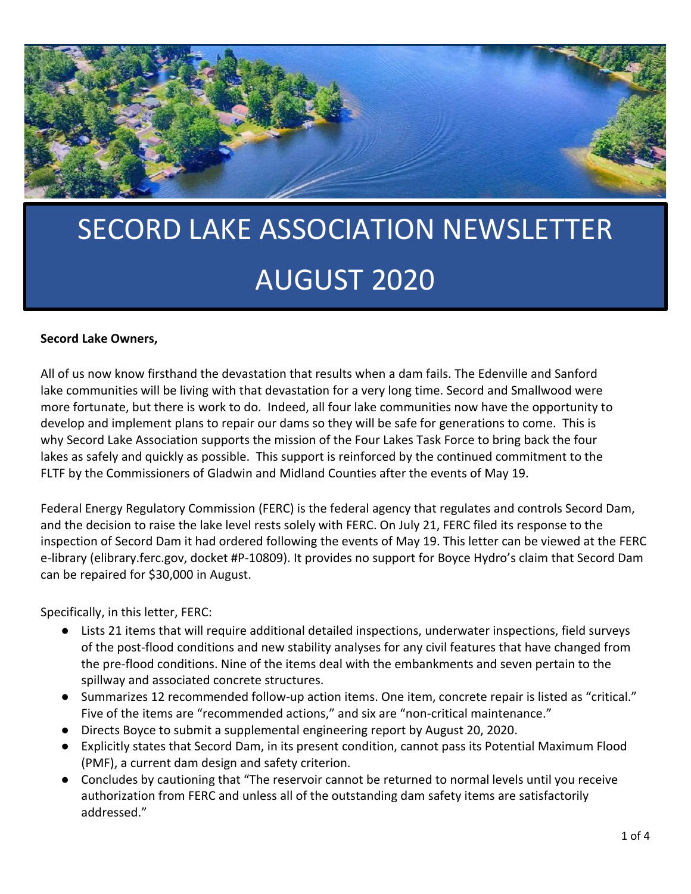

# SECORD LAKE ASSOCIATION NEWSLETTER AUGUST 2020

#### Secord Lake Owners,

All of us now know firsthand the devastation that results when a dam fails. The Edenville and Sanford lake communities will be living with that devastation for a very long time. Secord and Smallwood were more fortunate, but there is work to do. Indeed, all four lake communities now have the opportunity to develop and implement plans to repair our dams so they will be safe for generations to come. This is why Secord Lake Association supports the mission of the Four Lakes Task Force to bring back the four lakes as safely and quickly as possible. This support is reinforced by the continued commitment to the FLTF by the Commissioners of Gladwin and Midland Counties after the events of May 19.

Federal Energy Regulatory Commission (FERC) is the federal agency that regulates and controls Secord Dam, and the decision to raise the lake level rests solely with FERC. On July 21, FERC filed its response to the inspection of Secord Dam it had ordered following the events of May 19. This letter can be viewed at the FERC e-library (elibrary.ferc.gov, docket #P-10809). It provides no support for Boyce Hydro's claim that Secord Dam can be repaired for \$30,000 in August.

Specifically, in this letter, FERC:

- Lists 21 items that will require additional detailed inspections, underwater inspections, field surveys of the post-flood conditions and new stability analyses for any civil features that have changed from the pre-flood conditions. Nine of the items deal with the embankments and seven pertain to the spillway and associated concrete structures.
- Summarizes 12 recommended follow-up action items. One item, concrete repair is listed as "critical." Five of the items are "recommended actions," and six are "non-critical maintenance."
- Directs Boyce to submit a supplemental engineering report by August 20, 2020.
- Explicitly states that Secord Dam, in its present condition, cannot pass its Potential Maximum Flood (PMF), a current dam design and safety criterion.
- Concludes by cautioning that "The reservoir cannot be returned to normal levels until you receive authorization from FERC and unless all of the outstanding dam safety items are satisfactorily addressed."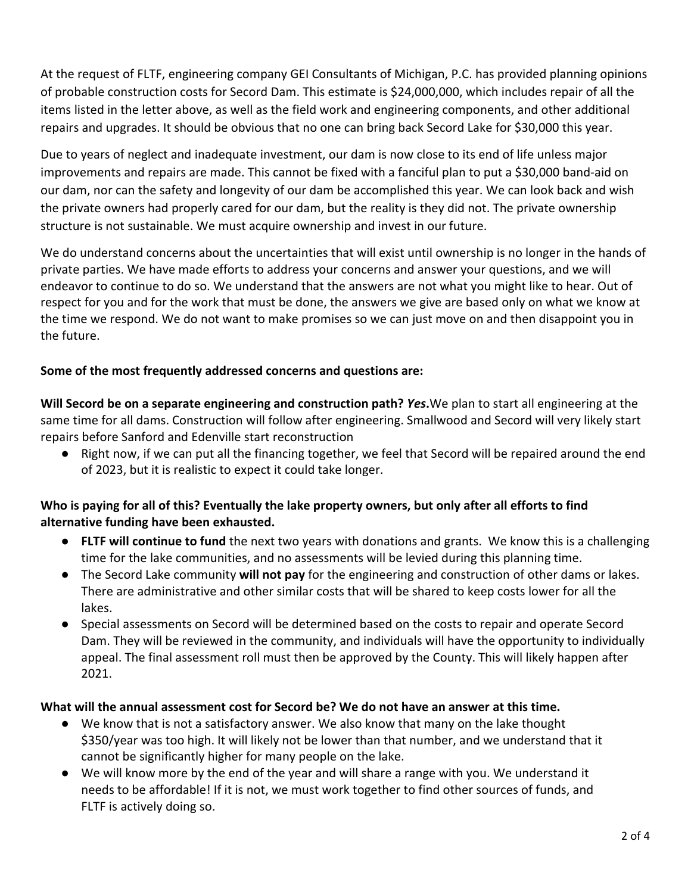At the request of FLTF, engineering company GEI Consultants of Michigan, P.C. has provided planning opinions of probable construction costs for Secord Dam. This estimate is \$24,000,000, which includes repair of all the items listed in the letter above, as well as the field work and engineering components, and other additional repairs and upgrades. It should be obvious that no one can bring back Secord Lake for \$30,000 this year.

Due to years of neglect and inadequate investment, our dam is now close to its end of life unless major improvements and repairs are made. This cannot be fixed with a fanciful plan to put a \$30,000 band-aid on our dam, nor can the safety and longevity of our dam be accomplished this year. We can look back and wish the private owners had properly cared for our dam, but the reality is they did not. The private ownership structure is not sustainable. We must acquire ownership and invest in our future.

We do understand concerns about the uncertainties that will exist until ownership is no longer in the hands of private parties. We have made efforts to address your concerns and answer your questions, and we will endeavor to continue to do so. We understand that the answers are not what you might like to hear. Out of respect for you and for the work that must be done, the answers we give are based only on what we know at the time we respond. We do not want to make promises so we can just move on and then disappoint you in the future.

#### Some of the most frequently addressed concerns and questions are:

Will Secord be on a separate engineering and construction path? *Yes*.We plan to start all engineering at the same time for all dams. Construction will follow after engineering. Smallwood and Secord will very likely start repairs before Sanford and Edenville start reconstruction

● Right now, if we can put all the financing together, we feel that Secord will be repaired around the end of 2023, but it is realistic to expect it could take longer.

#### Who is paying for all of this? Eventually the lake property owners, but only after all efforts to find alternative funding have been exhausted.

- FLTF will continue to fund the next two years with donations and grants. We know this is a challenging time for the lake communities, and no assessments will be levied during this planning time.
- The Secord Lake community will not pay for the engineering and construction of other dams or lakes. There are administrative and other similar costs that will be shared to keep costs lower for all the lakes.
- Special assessments on Secord will be determined based on the costs to repair and operate Secord Dam. They will be reviewed in the community, and individuals will have the opportunity to individually appeal. The final assessment roll must then be approved by the County. This will likely happen after 2021.

#### What will the annual assessment cost for Secord be? We do not have an answer at this time.

- We know that is not a satisfactory answer. We also know that many on the lake thought \$350/year was too high. It will likely not be lower than that number, and we understand that it cannot be significantly higher for many people on the lake.
- We will know more by the end of the year and will share a range with you. We understand it needs to be affordable! If it is not, we must work together to find other sources of funds, and FLTF is actively doing so.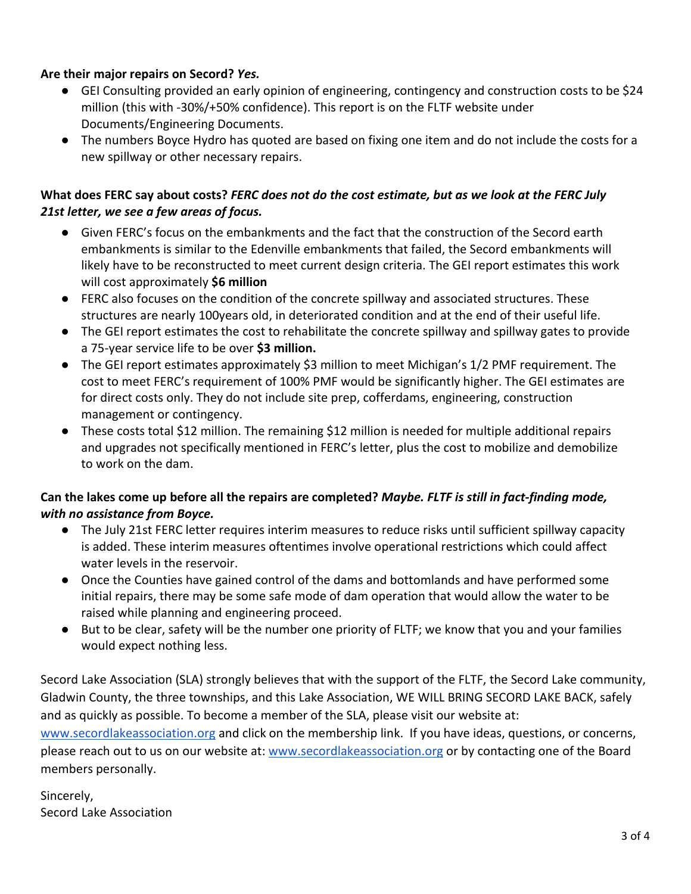#### Are their major repairs on Secord? *Yes.*

- GEI Consulting provided an early opinion of engineering, contingency and construction costs to be \$24 million (this with -30%/+50% confidence). This report is on the FLTF website under Documents/Engineering Documents.
- The numbers Boyce Hydro has quoted are based on fixing one item and do not include the costs for a new spillway or other necessary repairs.

#### What does FERC say about costs? *FERC does not do the cost estimate, but as we look at the FERC July 21st letter, we see a few areas of focus.*

- Given FERC's focus on the embankments and the fact that the construction of the Secord earth embankments is similar to the Edenville embankments that failed, the Secord embankments will likely have to be reconstructed to meet current design criteria. The GEI report estimates this work will cost approximately \$6 million
- FERC also focuses on the condition of the concrete spillway and associated structures. These structures are nearly 100years old, in deteriorated condition and at the end of their useful life.
- The GEI report estimates the cost to rehabilitate the concrete spillway and spillway gates to provide a 75-year service life to be over \$3 million.
- The GEI report estimates approximately \$3 million to meet Michigan's 1/2 PMF requirement. The cost to meet FERC's requirement of 100% PMF would be significantly higher. The GEI estimates are for direct costs only. They do not include site prep, cofferdams, engineering, construction management or contingency.
- These costs total \$12 million. The remaining \$12 million is needed for multiple additional repairs and upgrades not specifically mentioned in FERC's letter, plus the cost to mobilize and demobilize to work on the dam.

#### Can the lakes come up before all the repairs are completed? *Maybe. FLTF is still in fact-finding mode, with no assistance from Boyce.*

- The July 21st FERC letter requires interim measures to reduce risks until sufficient spillway capacity is added. These interim measures oftentimes involve operational restrictions which could affect water levels in the reservoir.
- Once the Counties have gained control of the dams and bottomlands and have performed some initial repairs, there may be some safe mode of dam operation that would allow the water to be raised while planning and engineering proceed.
- But to be clear, safety will be the number one priority of FLTF; we know that you and your families would expect nothing less.

Secord Lake Association (SLA) strongly believes that with the support of the FLTF, the Secord Lake community, Gladwin County, the three townships, and this Lake Association, WE WILL BRING SECORD LAKE BACK, safely and as quickly as possible. To become a member of the SLA, please visit our website at: www.secordlakeassociation.org and click on the membership link. If you have ideas, questions, or concerns,

please reach out to us on our website at: www.secordlakeassociation.org or by contacting one of the Board members personally.

Sincerely, Secord Lake Association